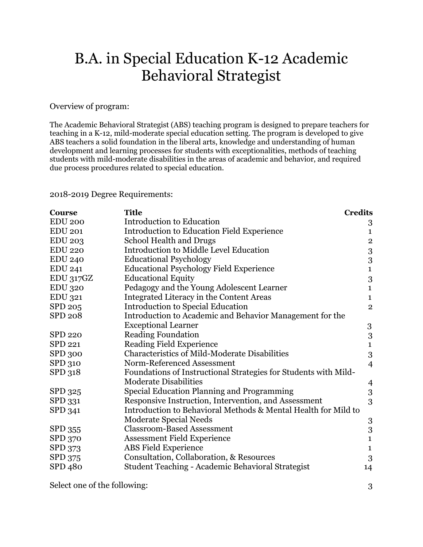## B.A. in Special Education K-12 Academic Behavioral Strategist

Overview of program:

The Academic Behavioral Strategist (ABS) teaching program is designed to prepare teachers for teaching in a K-12, mild-moderate special education setting. The program is developed to give ABS teachers a solid foundation in the liberal arts, knowledge and understanding of human development and learning processes for students with exceptionalities, methods of teaching students with mild-moderate disabilities in the areas of academic and behavior, and required due process procedures related to special education.

2018-2019 Degree Requirements:

| <b>Course</b>  | <b>Title</b>                                                    | <b>Credits</b>   |
|----------------|-----------------------------------------------------------------|------------------|
| <b>EDU 200</b> | Introduction to Education                                       | 3                |
| <b>EDU 201</b> | Introduction to Education Field Experience                      | $\mathbf{1}$     |
| <b>EDU 203</b> | School Health and Drugs                                         | $\overline{2}$   |
| <b>EDU 220</b> | Introduction to Middle Level Education                          | $\boldsymbol{3}$ |
| <b>EDU 240</b> | <b>Educational Psychology</b>                                   | $\boldsymbol{3}$ |
| <b>EDU 241</b> | <b>Educational Psychology Field Experience</b>                  | $\mathbf 1$      |
| EDU 317GZ      | <b>Educational Equity</b>                                       | 3                |
| <b>EDU 320</b> | Pedagogy and the Young Adolescent Learner                       | $\mathbf{1}$     |
| <b>EDU 321</b> | Integrated Literacy in the Content Areas                        | $\mathbf{1}$     |
| SPD 205        | Introduction to Special Education                               | $\overline{2}$   |
| <b>SPD 208</b> | Introduction to Academic and Behavior Management for the        |                  |
|                | <b>Exceptional Learner</b>                                      | $\boldsymbol{3}$ |
| <b>SPD 220</b> | <b>Reading Foundation</b>                                       | 3                |
| SPD 221        | <b>Reading Field Experience</b>                                 | $\mathbf{1}$     |
| <b>SPD 300</b> | <b>Characteristics of Mild-Moderate Disabilities</b>            | 3                |
| SPD 310        | Norm-Referenced Assessment                                      | $\overline{4}$   |
| SPD 318        | Foundations of Instructional Strategies for Students with Mild- |                  |
|                | <b>Moderate Disabilities</b>                                    | $\overline{4}$   |
| SPD 325        | Special Education Planning and Programming                      | 3                |
| SPD 331        | Responsive Instruction, Intervention, and Assessment            | 3                |
| SPD 341        | Introduction to Behavioral Methods & Mental Health for Mild to  |                  |
|                | <b>Moderate Special Needs</b>                                   | $\boldsymbol{3}$ |
| SPD 355        | <b>Classroom-Based Assessment</b>                               | 3                |
| SPD 370        | <b>Assessment Field Experience</b>                              | $\mathbf{1}$     |
| SPD 373        | <b>ABS</b> Field Experience                                     | $\mathbf{1}$     |
| SPD 375        | Consultation, Collaboration, & Resources                        | 3                |
| SPD 480        | Student Teaching - Academic Behavioral Strategist               | 14               |

Select one of the following: 3